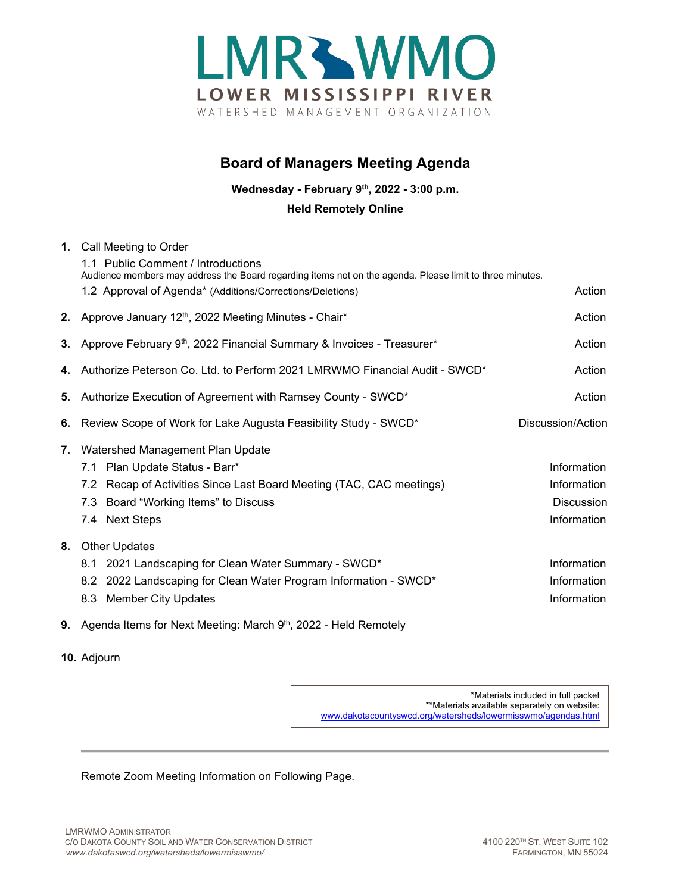

## **Board of Managers Meeting Agenda**

**Wednesday - February 9th, 2022 - 3:00 p.m.**

## **Held Remotely Online**

|    | 1. Call Meeting to Order<br>1.1 Public Comment / Introductions<br>Audience members may address the Board regarding items not on the agenda. Please limit to three minutes.<br>1.2 Approval of Agenda* (Additions/Corrections/Deletions) | Action                                                         |
|----|-----------------------------------------------------------------------------------------------------------------------------------------------------------------------------------------------------------------------------------------|----------------------------------------------------------------|
|    | 2. Approve January 12th, 2022 Meeting Minutes - Chair*                                                                                                                                                                                  | Action                                                         |
| 3. | Approve February 9 <sup>th</sup> , 2022 Financial Summary & Invoices - Treasurer*                                                                                                                                                       | Action                                                         |
|    | 4. Authorize Peterson Co. Ltd. to Perform 2021 LMRWMO Financial Audit - SWCD*                                                                                                                                                           | Action                                                         |
| 5. | Authorize Execution of Agreement with Ramsey County - SWCD*                                                                                                                                                                             | Action                                                         |
| 6. | Review Scope of Work for Lake Augusta Feasibility Study - SWCD*                                                                                                                                                                         | Discussion/Action                                              |
| 7. | Watershed Management Plan Update<br>7.1 Plan Update Status - Barr*<br>7.2 Recap of Activities Since Last Board Meeting (TAC, CAC meetings)<br>Board "Working Items" to Discuss<br>7.3<br>7.4 Next Steps                                 | Information<br>Information<br><b>Discussion</b><br>Information |
| 8. | <b>Other Updates</b><br>2021 Landscaping for Clean Water Summary - SWCD*<br>8.1<br>8.2 2022 Landscaping for Clean Water Program Information - SWCD*<br><b>Member City Updates</b><br>8.3                                                | Information<br>Information<br>Information                      |

- **9.** Agenda Items for Next Meeting: March 9<sup>th</sup>, 2022 Held Remotely
- **10.** Adjourn

\*Materials included in full packet \*\*Materials available separately on website: [www.dakotacountyswcd.org/watersheds/lowermisswmo/agendas.html](http://www.dakotacountyswcd.org/watersheds/lowermisswmo/agendas.html)

Remote Zoom Meeting Information on Following Page.